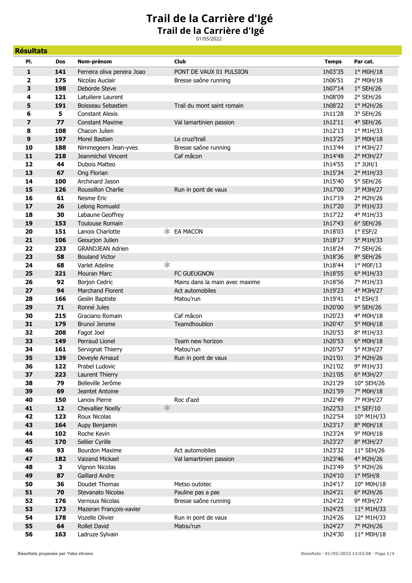## **Trail de la Carrière d'Igé** 01/05/2022 **Trail de la Carrière d'Igé**

| PI.<br>Nom-prénom<br>Club<br><b>Temps</b><br>Par cat.<br>Dos<br>141<br>1° M0H/18<br>1<br>Ferreira oliva pereira Joao<br>PONT DE VAUX 01 PULSION<br>1h03'35<br>175<br>$\overline{\mathbf{2}}$<br>Nicolas Auclair<br>Bresse saône running<br>1h06'51<br>2° M0H/18<br>198<br>3<br>Deborde Steve<br>1h07'14<br>$1°$ SEH/26<br>121<br>1h08'09<br>2° SEH/26<br>4<br>Latuiliere Laurent<br>5<br>191<br>1h08'22<br>Trail du mont saint romain<br>1° M2H/26<br>Boisseau Sebastien<br>6<br>5<br><b>Constant Alexis</b><br>1h11'28<br>3° SEH/26<br>7<br>77<br>1h12'11<br>4° SEH/26<br><b>Constant Maxime</b><br>Val lamartinien passion<br>8<br>108<br>Chacon Julien<br>1h12'13<br>1° M1H/33<br>197<br>9<br>Morel Bastien<br>1h13'25<br>3° M0H/18<br>Le cruzi'trail<br>10<br>188<br>Nimmegeers Jean-yves<br>Bresse saône running<br>1h13'44<br>1° M3H/27<br>11<br>218<br>Jeanmichel Vincent<br>Caf mâcon<br>1h14'48<br>2° M3H/27<br>12<br>44<br>Dubois Matteo<br>1h14'55<br>$1°$ JUH/ $1$<br>13<br>67<br>Ong Florian<br>1h15'34<br>2° M1H/33<br>100<br>14<br>Archinard Jason<br>1h15'40<br>5° SEH/26<br>15<br>126<br>1h17'00<br>Roussillon Charlie<br>3° M3H/27<br>Run in pont de vaux<br>61<br>16<br>Nesme Eric<br>1h17'19<br>2° M2H/26<br>17<br>26<br>1h17'20<br>Lelong Romuald<br>3° M1H/33<br>30<br>18<br>Labaune Geoffrey<br>1h17'22<br>4° M1H/33<br>Toulouse Romain<br>1h17'43<br>19<br>153<br>$6°$ SEH/26<br>151<br>20<br>Lanoix Charlotte<br>EA MACON<br>1h18'03<br>$1°$ ESF/2<br>106<br>21<br>Geourjon Julien<br>1h18'17<br>5° M1H/33<br>22<br>233<br>1h18'24<br><b>GRANDJEAN Adrien</b><br>7° SEH/26<br>23<br>58<br><b>Bouland Victor</b><br>1h18'36<br>8° SEH/26<br>∗<br>68<br>24<br>Varlet Adeline<br>1h18'44<br>1° M0F/13<br>25<br>221<br><b>FC GUEUGNON</b><br>1h18'55<br>6° M1H/33<br><b>Mouran Marc</b><br>26<br>92<br>Mains dans la main avec maxime<br>1h18'56<br>7° M1H/33<br><b>Borjon Cedric</b><br>94<br>27<br>Marchand Florent<br>Act automobiles<br>1h19'23<br>4° M3H/27<br>166<br>28<br>Geslin Baptiste<br>1h19'41<br>$1°$ ESH/3<br>Matou'run<br>71<br>29<br>Ronné Jules<br>1h20'00<br>9° SEH/26<br>Caf mâcon<br>30<br>215<br>Graciano Romain<br>1h20'23<br>4° M0H/18<br>179<br>31<br><b>Brunol Jerome</b><br>Teamdhoublon<br>1h20'47<br>5° M0H/18<br>32<br>208<br>Fagot Joel<br>1h20'53<br>8° M1H/33<br>33<br>149<br>Perraud Lionel<br>Team new horizon<br>1h20'53<br>6° M0H/18<br>161<br>1h20'57<br>5° M3H/27<br>34<br>Servignat Thierry<br>Matou'run<br>35<br>139<br>1h21'01<br>3° M2H/26<br>Deveyle Arnaud<br>Run in pont de vaux<br>9° M1H/33<br>36<br>122<br>Prabel Ludovic<br>1h21'02<br>37<br>223<br>1h21'05<br>6° M3H/27<br>Laurent Thierry<br>38<br>79<br>Belleville Jerôme<br>1h21'29<br>10° SEH/26<br>69<br>39<br>1h21'59<br>7° M0H/18<br>Jeantet Antoine<br>150<br>Roc d'azé<br>1h22'49<br>40<br>Lanoix Pierre<br>7° M3H/27<br>氺<br>41<br>12<br><b>Chevallier Noelly</b><br>1h22'53<br>$1°$ SEF/10<br>42<br>123<br>10° M1H/33<br>Roux Nicolas<br>1h22'54<br>43<br>164<br>1h23'17<br>8° M0H/18<br>Aupy Benjamin<br>44<br>102<br>Roche Kevin<br>1h23'24<br>9° M0H/18<br>45<br>170<br>1h23'27<br>8° M3H/27<br>Sellier Cyrille<br>Act automobiles<br>46<br>93<br>1h23'32<br>11° SEH/26<br><b>Bourdon Maxime</b><br>182<br>47<br>Vaizand Mickael<br>Val lamartinien passion<br>1h23'46<br>4° M2H/26<br>48<br>3<br>1h23'49<br>5° M2H/26<br>Vignon Nicolas<br>49<br>87<br>Gaillard Andre<br>1h24'10<br>$1°$ M5H/8<br>50<br>36<br>Doudet Thomas<br>Metso outotec<br>1h24'17<br>10° M0H/18<br>51<br>70<br>Stevanato Nicolas<br>Pauline pas a pas<br>1h24'21<br>6° M2H/26<br>52<br>176<br>Vernoux Nicolas<br>Bresse saône running<br>1h24'22<br>9° M3H/27<br>53<br>173<br>1h24'25<br>11° M1H/33<br>Mazeran François-xavier<br>54<br>178<br>Vozelle Olivier<br>Run in pont de vaux<br>1h24'26<br>12° M1H/33<br>55<br>64<br>1h24'27<br>Rollet David<br>Matou'run<br>7° M2H/26<br>56<br>163<br>1h24'30<br>11° M0H/18<br>Ladruze Sylvain | <b>Résultats</b> |  |  |  |
|-------------------------------------------------------------------------------------------------------------------------------------------------------------------------------------------------------------------------------------------------------------------------------------------------------------------------------------------------------------------------------------------------------------------------------------------------------------------------------------------------------------------------------------------------------------------------------------------------------------------------------------------------------------------------------------------------------------------------------------------------------------------------------------------------------------------------------------------------------------------------------------------------------------------------------------------------------------------------------------------------------------------------------------------------------------------------------------------------------------------------------------------------------------------------------------------------------------------------------------------------------------------------------------------------------------------------------------------------------------------------------------------------------------------------------------------------------------------------------------------------------------------------------------------------------------------------------------------------------------------------------------------------------------------------------------------------------------------------------------------------------------------------------------------------------------------------------------------------------------------------------------------------------------------------------------------------------------------------------------------------------------------------------------------------------------------------------------------------------------------------------------------------------------------------------------------------------------------------------------------------------------------------------------------------------------------------------------------------------------------------------------------------------------------------------------------------------------------------------------------------------------------------------------------------------------------------------------------------------------------------------------------------------------------------------------------------------------------------------------------------------------------------------------------------------------------------------------------------------------------------------------------------------------------------------------------------------------------------------------------------------------------------------------------------------------------------------------------------------------------------------------------------------------------------------------------------------------------------------------------------------------------------------------------------------------------------------------------------------------------------------------------------------------------------------------------------------------------------------------------------------------------------------------------------------------------------------------------------------------------------------------------------------------------------------------------------------------------------------------------------------------------------------------------------------------------------------------------------------------------------------------------------------------------------------------------------------|------------------|--|--|--|
|                                                                                                                                                                                                                                                                                                                                                                                                                                                                                                                                                                                                                                                                                                                                                                                                                                                                                                                                                                                                                                                                                                                                                                                                                                                                                                                                                                                                                                                                                                                                                                                                                                                                                                                                                                                                                                                                                                                                                                                                                                                                                                                                                                                                                                                                                                                                                                                                                                                                                                                                                                                                                                                                                                                                                                                                                                                                                                                                                                                                                                                                                                                                                                                                                                                                                                                                                                                                                                                                                                                                                                                                                                                                                                                                                                                                                                                                                                                                                       |                  |  |  |  |
|                                                                                                                                                                                                                                                                                                                                                                                                                                                                                                                                                                                                                                                                                                                                                                                                                                                                                                                                                                                                                                                                                                                                                                                                                                                                                                                                                                                                                                                                                                                                                                                                                                                                                                                                                                                                                                                                                                                                                                                                                                                                                                                                                                                                                                                                                                                                                                                                                                                                                                                                                                                                                                                                                                                                                                                                                                                                                                                                                                                                                                                                                                                                                                                                                                                                                                                                                                                                                                                                                                                                                                                                                                                                                                                                                                                                                                                                                                                                                       |                  |  |  |  |
|                                                                                                                                                                                                                                                                                                                                                                                                                                                                                                                                                                                                                                                                                                                                                                                                                                                                                                                                                                                                                                                                                                                                                                                                                                                                                                                                                                                                                                                                                                                                                                                                                                                                                                                                                                                                                                                                                                                                                                                                                                                                                                                                                                                                                                                                                                                                                                                                                                                                                                                                                                                                                                                                                                                                                                                                                                                                                                                                                                                                                                                                                                                                                                                                                                                                                                                                                                                                                                                                                                                                                                                                                                                                                                                                                                                                                                                                                                                                                       |                  |  |  |  |
|                                                                                                                                                                                                                                                                                                                                                                                                                                                                                                                                                                                                                                                                                                                                                                                                                                                                                                                                                                                                                                                                                                                                                                                                                                                                                                                                                                                                                                                                                                                                                                                                                                                                                                                                                                                                                                                                                                                                                                                                                                                                                                                                                                                                                                                                                                                                                                                                                                                                                                                                                                                                                                                                                                                                                                                                                                                                                                                                                                                                                                                                                                                                                                                                                                                                                                                                                                                                                                                                                                                                                                                                                                                                                                                                                                                                                                                                                                                                                       |                  |  |  |  |
|                                                                                                                                                                                                                                                                                                                                                                                                                                                                                                                                                                                                                                                                                                                                                                                                                                                                                                                                                                                                                                                                                                                                                                                                                                                                                                                                                                                                                                                                                                                                                                                                                                                                                                                                                                                                                                                                                                                                                                                                                                                                                                                                                                                                                                                                                                                                                                                                                                                                                                                                                                                                                                                                                                                                                                                                                                                                                                                                                                                                                                                                                                                                                                                                                                                                                                                                                                                                                                                                                                                                                                                                                                                                                                                                                                                                                                                                                                                                                       |                  |  |  |  |
|                                                                                                                                                                                                                                                                                                                                                                                                                                                                                                                                                                                                                                                                                                                                                                                                                                                                                                                                                                                                                                                                                                                                                                                                                                                                                                                                                                                                                                                                                                                                                                                                                                                                                                                                                                                                                                                                                                                                                                                                                                                                                                                                                                                                                                                                                                                                                                                                                                                                                                                                                                                                                                                                                                                                                                                                                                                                                                                                                                                                                                                                                                                                                                                                                                                                                                                                                                                                                                                                                                                                                                                                                                                                                                                                                                                                                                                                                                                                                       |                  |  |  |  |
|                                                                                                                                                                                                                                                                                                                                                                                                                                                                                                                                                                                                                                                                                                                                                                                                                                                                                                                                                                                                                                                                                                                                                                                                                                                                                                                                                                                                                                                                                                                                                                                                                                                                                                                                                                                                                                                                                                                                                                                                                                                                                                                                                                                                                                                                                                                                                                                                                                                                                                                                                                                                                                                                                                                                                                                                                                                                                                                                                                                                                                                                                                                                                                                                                                                                                                                                                                                                                                                                                                                                                                                                                                                                                                                                                                                                                                                                                                                                                       |                  |  |  |  |
|                                                                                                                                                                                                                                                                                                                                                                                                                                                                                                                                                                                                                                                                                                                                                                                                                                                                                                                                                                                                                                                                                                                                                                                                                                                                                                                                                                                                                                                                                                                                                                                                                                                                                                                                                                                                                                                                                                                                                                                                                                                                                                                                                                                                                                                                                                                                                                                                                                                                                                                                                                                                                                                                                                                                                                                                                                                                                                                                                                                                                                                                                                                                                                                                                                                                                                                                                                                                                                                                                                                                                                                                                                                                                                                                                                                                                                                                                                                                                       |                  |  |  |  |
|                                                                                                                                                                                                                                                                                                                                                                                                                                                                                                                                                                                                                                                                                                                                                                                                                                                                                                                                                                                                                                                                                                                                                                                                                                                                                                                                                                                                                                                                                                                                                                                                                                                                                                                                                                                                                                                                                                                                                                                                                                                                                                                                                                                                                                                                                                                                                                                                                                                                                                                                                                                                                                                                                                                                                                                                                                                                                                                                                                                                                                                                                                                                                                                                                                                                                                                                                                                                                                                                                                                                                                                                                                                                                                                                                                                                                                                                                                                                                       |                  |  |  |  |
|                                                                                                                                                                                                                                                                                                                                                                                                                                                                                                                                                                                                                                                                                                                                                                                                                                                                                                                                                                                                                                                                                                                                                                                                                                                                                                                                                                                                                                                                                                                                                                                                                                                                                                                                                                                                                                                                                                                                                                                                                                                                                                                                                                                                                                                                                                                                                                                                                                                                                                                                                                                                                                                                                                                                                                                                                                                                                                                                                                                                                                                                                                                                                                                                                                                                                                                                                                                                                                                                                                                                                                                                                                                                                                                                                                                                                                                                                                                                                       |                  |  |  |  |
|                                                                                                                                                                                                                                                                                                                                                                                                                                                                                                                                                                                                                                                                                                                                                                                                                                                                                                                                                                                                                                                                                                                                                                                                                                                                                                                                                                                                                                                                                                                                                                                                                                                                                                                                                                                                                                                                                                                                                                                                                                                                                                                                                                                                                                                                                                                                                                                                                                                                                                                                                                                                                                                                                                                                                                                                                                                                                                                                                                                                                                                                                                                                                                                                                                                                                                                                                                                                                                                                                                                                                                                                                                                                                                                                                                                                                                                                                                                                                       |                  |  |  |  |
|                                                                                                                                                                                                                                                                                                                                                                                                                                                                                                                                                                                                                                                                                                                                                                                                                                                                                                                                                                                                                                                                                                                                                                                                                                                                                                                                                                                                                                                                                                                                                                                                                                                                                                                                                                                                                                                                                                                                                                                                                                                                                                                                                                                                                                                                                                                                                                                                                                                                                                                                                                                                                                                                                                                                                                                                                                                                                                                                                                                                                                                                                                                                                                                                                                                                                                                                                                                                                                                                                                                                                                                                                                                                                                                                                                                                                                                                                                                                                       |                  |  |  |  |
|                                                                                                                                                                                                                                                                                                                                                                                                                                                                                                                                                                                                                                                                                                                                                                                                                                                                                                                                                                                                                                                                                                                                                                                                                                                                                                                                                                                                                                                                                                                                                                                                                                                                                                                                                                                                                                                                                                                                                                                                                                                                                                                                                                                                                                                                                                                                                                                                                                                                                                                                                                                                                                                                                                                                                                                                                                                                                                                                                                                                                                                                                                                                                                                                                                                                                                                                                                                                                                                                                                                                                                                                                                                                                                                                                                                                                                                                                                                                                       |                  |  |  |  |
|                                                                                                                                                                                                                                                                                                                                                                                                                                                                                                                                                                                                                                                                                                                                                                                                                                                                                                                                                                                                                                                                                                                                                                                                                                                                                                                                                                                                                                                                                                                                                                                                                                                                                                                                                                                                                                                                                                                                                                                                                                                                                                                                                                                                                                                                                                                                                                                                                                                                                                                                                                                                                                                                                                                                                                                                                                                                                                                                                                                                                                                                                                                                                                                                                                                                                                                                                                                                                                                                                                                                                                                                                                                                                                                                                                                                                                                                                                                                                       |                  |  |  |  |
|                                                                                                                                                                                                                                                                                                                                                                                                                                                                                                                                                                                                                                                                                                                                                                                                                                                                                                                                                                                                                                                                                                                                                                                                                                                                                                                                                                                                                                                                                                                                                                                                                                                                                                                                                                                                                                                                                                                                                                                                                                                                                                                                                                                                                                                                                                                                                                                                                                                                                                                                                                                                                                                                                                                                                                                                                                                                                                                                                                                                                                                                                                                                                                                                                                                                                                                                                                                                                                                                                                                                                                                                                                                                                                                                                                                                                                                                                                                                                       |                  |  |  |  |
|                                                                                                                                                                                                                                                                                                                                                                                                                                                                                                                                                                                                                                                                                                                                                                                                                                                                                                                                                                                                                                                                                                                                                                                                                                                                                                                                                                                                                                                                                                                                                                                                                                                                                                                                                                                                                                                                                                                                                                                                                                                                                                                                                                                                                                                                                                                                                                                                                                                                                                                                                                                                                                                                                                                                                                                                                                                                                                                                                                                                                                                                                                                                                                                                                                                                                                                                                                                                                                                                                                                                                                                                                                                                                                                                                                                                                                                                                                                                                       |                  |  |  |  |
|                                                                                                                                                                                                                                                                                                                                                                                                                                                                                                                                                                                                                                                                                                                                                                                                                                                                                                                                                                                                                                                                                                                                                                                                                                                                                                                                                                                                                                                                                                                                                                                                                                                                                                                                                                                                                                                                                                                                                                                                                                                                                                                                                                                                                                                                                                                                                                                                                                                                                                                                                                                                                                                                                                                                                                                                                                                                                                                                                                                                                                                                                                                                                                                                                                                                                                                                                                                                                                                                                                                                                                                                                                                                                                                                                                                                                                                                                                                                                       |                  |  |  |  |
|                                                                                                                                                                                                                                                                                                                                                                                                                                                                                                                                                                                                                                                                                                                                                                                                                                                                                                                                                                                                                                                                                                                                                                                                                                                                                                                                                                                                                                                                                                                                                                                                                                                                                                                                                                                                                                                                                                                                                                                                                                                                                                                                                                                                                                                                                                                                                                                                                                                                                                                                                                                                                                                                                                                                                                                                                                                                                                                                                                                                                                                                                                                                                                                                                                                                                                                                                                                                                                                                                                                                                                                                                                                                                                                                                                                                                                                                                                                                                       |                  |  |  |  |
|                                                                                                                                                                                                                                                                                                                                                                                                                                                                                                                                                                                                                                                                                                                                                                                                                                                                                                                                                                                                                                                                                                                                                                                                                                                                                                                                                                                                                                                                                                                                                                                                                                                                                                                                                                                                                                                                                                                                                                                                                                                                                                                                                                                                                                                                                                                                                                                                                                                                                                                                                                                                                                                                                                                                                                                                                                                                                                                                                                                                                                                                                                                                                                                                                                                                                                                                                                                                                                                                                                                                                                                                                                                                                                                                                                                                                                                                                                                                                       |                  |  |  |  |
|                                                                                                                                                                                                                                                                                                                                                                                                                                                                                                                                                                                                                                                                                                                                                                                                                                                                                                                                                                                                                                                                                                                                                                                                                                                                                                                                                                                                                                                                                                                                                                                                                                                                                                                                                                                                                                                                                                                                                                                                                                                                                                                                                                                                                                                                                                                                                                                                                                                                                                                                                                                                                                                                                                                                                                                                                                                                                                                                                                                                                                                                                                                                                                                                                                                                                                                                                                                                                                                                                                                                                                                                                                                                                                                                                                                                                                                                                                                                                       |                  |  |  |  |
|                                                                                                                                                                                                                                                                                                                                                                                                                                                                                                                                                                                                                                                                                                                                                                                                                                                                                                                                                                                                                                                                                                                                                                                                                                                                                                                                                                                                                                                                                                                                                                                                                                                                                                                                                                                                                                                                                                                                                                                                                                                                                                                                                                                                                                                                                                                                                                                                                                                                                                                                                                                                                                                                                                                                                                                                                                                                                                                                                                                                                                                                                                                                                                                                                                                                                                                                                                                                                                                                                                                                                                                                                                                                                                                                                                                                                                                                                                                                                       |                  |  |  |  |
|                                                                                                                                                                                                                                                                                                                                                                                                                                                                                                                                                                                                                                                                                                                                                                                                                                                                                                                                                                                                                                                                                                                                                                                                                                                                                                                                                                                                                                                                                                                                                                                                                                                                                                                                                                                                                                                                                                                                                                                                                                                                                                                                                                                                                                                                                                                                                                                                                                                                                                                                                                                                                                                                                                                                                                                                                                                                                                                                                                                                                                                                                                                                                                                                                                                                                                                                                                                                                                                                                                                                                                                                                                                                                                                                                                                                                                                                                                                                                       |                  |  |  |  |
|                                                                                                                                                                                                                                                                                                                                                                                                                                                                                                                                                                                                                                                                                                                                                                                                                                                                                                                                                                                                                                                                                                                                                                                                                                                                                                                                                                                                                                                                                                                                                                                                                                                                                                                                                                                                                                                                                                                                                                                                                                                                                                                                                                                                                                                                                                                                                                                                                                                                                                                                                                                                                                                                                                                                                                                                                                                                                                                                                                                                                                                                                                                                                                                                                                                                                                                                                                                                                                                                                                                                                                                                                                                                                                                                                                                                                                                                                                                                                       |                  |  |  |  |
|                                                                                                                                                                                                                                                                                                                                                                                                                                                                                                                                                                                                                                                                                                                                                                                                                                                                                                                                                                                                                                                                                                                                                                                                                                                                                                                                                                                                                                                                                                                                                                                                                                                                                                                                                                                                                                                                                                                                                                                                                                                                                                                                                                                                                                                                                                                                                                                                                                                                                                                                                                                                                                                                                                                                                                                                                                                                                                                                                                                                                                                                                                                                                                                                                                                                                                                                                                                                                                                                                                                                                                                                                                                                                                                                                                                                                                                                                                                                                       |                  |  |  |  |
|                                                                                                                                                                                                                                                                                                                                                                                                                                                                                                                                                                                                                                                                                                                                                                                                                                                                                                                                                                                                                                                                                                                                                                                                                                                                                                                                                                                                                                                                                                                                                                                                                                                                                                                                                                                                                                                                                                                                                                                                                                                                                                                                                                                                                                                                                                                                                                                                                                                                                                                                                                                                                                                                                                                                                                                                                                                                                                                                                                                                                                                                                                                                                                                                                                                                                                                                                                                                                                                                                                                                                                                                                                                                                                                                                                                                                                                                                                                                                       |                  |  |  |  |
|                                                                                                                                                                                                                                                                                                                                                                                                                                                                                                                                                                                                                                                                                                                                                                                                                                                                                                                                                                                                                                                                                                                                                                                                                                                                                                                                                                                                                                                                                                                                                                                                                                                                                                                                                                                                                                                                                                                                                                                                                                                                                                                                                                                                                                                                                                                                                                                                                                                                                                                                                                                                                                                                                                                                                                                                                                                                                                                                                                                                                                                                                                                                                                                                                                                                                                                                                                                                                                                                                                                                                                                                                                                                                                                                                                                                                                                                                                                                                       |                  |  |  |  |
|                                                                                                                                                                                                                                                                                                                                                                                                                                                                                                                                                                                                                                                                                                                                                                                                                                                                                                                                                                                                                                                                                                                                                                                                                                                                                                                                                                                                                                                                                                                                                                                                                                                                                                                                                                                                                                                                                                                                                                                                                                                                                                                                                                                                                                                                                                                                                                                                                                                                                                                                                                                                                                                                                                                                                                                                                                                                                                                                                                                                                                                                                                                                                                                                                                                                                                                                                                                                                                                                                                                                                                                                                                                                                                                                                                                                                                                                                                                                                       |                  |  |  |  |
|                                                                                                                                                                                                                                                                                                                                                                                                                                                                                                                                                                                                                                                                                                                                                                                                                                                                                                                                                                                                                                                                                                                                                                                                                                                                                                                                                                                                                                                                                                                                                                                                                                                                                                                                                                                                                                                                                                                                                                                                                                                                                                                                                                                                                                                                                                                                                                                                                                                                                                                                                                                                                                                                                                                                                                                                                                                                                                                                                                                                                                                                                                                                                                                                                                                                                                                                                                                                                                                                                                                                                                                                                                                                                                                                                                                                                                                                                                                                                       |                  |  |  |  |
|                                                                                                                                                                                                                                                                                                                                                                                                                                                                                                                                                                                                                                                                                                                                                                                                                                                                                                                                                                                                                                                                                                                                                                                                                                                                                                                                                                                                                                                                                                                                                                                                                                                                                                                                                                                                                                                                                                                                                                                                                                                                                                                                                                                                                                                                                                                                                                                                                                                                                                                                                                                                                                                                                                                                                                                                                                                                                                                                                                                                                                                                                                                                                                                                                                                                                                                                                                                                                                                                                                                                                                                                                                                                                                                                                                                                                                                                                                                                                       |                  |  |  |  |
|                                                                                                                                                                                                                                                                                                                                                                                                                                                                                                                                                                                                                                                                                                                                                                                                                                                                                                                                                                                                                                                                                                                                                                                                                                                                                                                                                                                                                                                                                                                                                                                                                                                                                                                                                                                                                                                                                                                                                                                                                                                                                                                                                                                                                                                                                                                                                                                                                                                                                                                                                                                                                                                                                                                                                                                                                                                                                                                                                                                                                                                                                                                                                                                                                                                                                                                                                                                                                                                                                                                                                                                                                                                                                                                                                                                                                                                                                                                                                       |                  |  |  |  |
|                                                                                                                                                                                                                                                                                                                                                                                                                                                                                                                                                                                                                                                                                                                                                                                                                                                                                                                                                                                                                                                                                                                                                                                                                                                                                                                                                                                                                                                                                                                                                                                                                                                                                                                                                                                                                                                                                                                                                                                                                                                                                                                                                                                                                                                                                                                                                                                                                                                                                                                                                                                                                                                                                                                                                                                                                                                                                                                                                                                                                                                                                                                                                                                                                                                                                                                                                                                                                                                                                                                                                                                                                                                                                                                                                                                                                                                                                                                                                       |                  |  |  |  |
|                                                                                                                                                                                                                                                                                                                                                                                                                                                                                                                                                                                                                                                                                                                                                                                                                                                                                                                                                                                                                                                                                                                                                                                                                                                                                                                                                                                                                                                                                                                                                                                                                                                                                                                                                                                                                                                                                                                                                                                                                                                                                                                                                                                                                                                                                                                                                                                                                                                                                                                                                                                                                                                                                                                                                                                                                                                                                                                                                                                                                                                                                                                                                                                                                                                                                                                                                                                                                                                                                                                                                                                                                                                                                                                                                                                                                                                                                                                                                       |                  |  |  |  |
|                                                                                                                                                                                                                                                                                                                                                                                                                                                                                                                                                                                                                                                                                                                                                                                                                                                                                                                                                                                                                                                                                                                                                                                                                                                                                                                                                                                                                                                                                                                                                                                                                                                                                                                                                                                                                                                                                                                                                                                                                                                                                                                                                                                                                                                                                                                                                                                                                                                                                                                                                                                                                                                                                                                                                                                                                                                                                                                                                                                                                                                                                                                                                                                                                                                                                                                                                                                                                                                                                                                                                                                                                                                                                                                                                                                                                                                                                                                                                       |                  |  |  |  |
|                                                                                                                                                                                                                                                                                                                                                                                                                                                                                                                                                                                                                                                                                                                                                                                                                                                                                                                                                                                                                                                                                                                                                                                                                                                                                                                                                                                                                                                                                                                                                                                                                                                                                                                                                                                                                                                                                                                                                                                                                                                                                                                                                                                                                                                                                                                                                                                                                                                                                                                                                                                                                                                                                                                                                                                                                                                                                                                                                                                                                                                                                                                                                                                                                                                                                                                                                                                                                                                                                                                                                                                                                                                                                                                                                                                                                                                                                                                                                       |                  |  |  |  |
|                                                                                                                                                                                                                                                                                                                                                                                                                                                                                                                                                                                                                                                                                                                                                                                                                                                                                                                                                                                                                                                                                                                                                                                                                                                                                                                                                                                                                                                                                                                                                                                                                                                                                                                                                                                                                                                                                                                                                                                                                                                                                                                                                                                                                                                                                                                                                                                                                                                                                                                                                                                                                                                                                                                                                                                                                                                                                                                                                                                                                                                                                                                                                                                                                                                                                                                                                                                                                                                                                                                                                                                                                                                                                                                                                                                                                                                                                                                                                       |                  |  |  |  |
|                                                                                                                                                                                                                                                                                                                                                                                                                                                                                                                                                                                                                                                                                                                                                                                                                                                                                                                                                                                                                                                                                                                                                                                                                                                                                                                                                                                                                                                                                                                                                                                                                                                                                                                                                                                                                                                                                                                                                                                                                                                                                                                                                                                                                                                                                                                                                                                                                                                                                                                                                                                                                                                                                                                                                                                                                                                                                                                                                                                                                                                                                                                                                                                                                                                                                                                                                                                                                                                                                                                                                                                                                                                                                                                                                                                                                                                                                                                                                       |                  |  |  |  |
|                                                                                                                                                                                                                                                                                                                                                                                                                                                                                                                                                                                                                                                                                                                                                                                                                                                                                                                                                                                                                                                                                                                                                                                                                                                                                                                                                                                                                                                                                                                                                                                                                                                                                                                                                                                                                                                                                                                                                                                                                                                                                                                                                                                                                                                                                                                                                                                                                                                                                                                                                                                                                                                                                                                                                                                                                                                                                                                                                                                                                                                                                                                                                                                                                                                                                                                                                                                                                                                                                                                                                                                                                                                                                                                                                                                                                                                                                                                                                       |                  |  |  |  |
|                                                                                                                                                                                                                                                                                                                                                                                                                                                                                                                                                                                                                                                                                                                                                                                                                                                                                                                                                                                                                                                                                                                                                                                                                                                                                                                                                                                                                                                                                                                                                                                                                                                                                                                                                                                                                                                                                                                                                                                                                                                                                                                                                                                                                                                                                                                                                                                                                                                                                                                                                                                                                                                                                                                                                                                                                                                                                                                                                                                                                                                                                                                                                                                                                                                                                                                                                                                                                                                                                                                                                                                                                                                                                                                                                                                                                                                                                                                                                       |                  |  |  |  |
|                                                                                                                                                                                                                                                                                                                                                                                                                                                                                                                                                                                                                                                                                                                                                                                                                                                                                                                                                                                                                                                                                                                                                                                                                                                                                                                                                                                                                                                                                                                                                                                                                                                                                                                                                                                                                                                                                                                                                                                                                                                                                                                                                                                                                                                                                                                                                                                                                                                                                                                                                                                                                                                                                                                                                                                                                                                                                                                                                                                                                                                                                                                                                                                                                                                                                                                                                                                                                                                                                                                                                                                                                                                                                                                                                                                                                                                                                                                                                       |                  |  |  |  |
|                                                                                                                                                                                                                                                                                                                                                                                                                                                                                                                                                                                                                                                                                                                                                                                                                                                                                                                                                                                                                                                                                                                                                                                                                                                                                                                                                                                                                                                                                                                                                                                                                                                                                                                                                                                                                                                                                                                                                                                                                                                                                                                                                                                                                                                                                                                                                                                                                                                                                                                                                                                                                                                                                                                                                                                                                                                                                                                                                                                                                                                                                                                                                                                                                                                                                                                                                                                                                                                                                                                                                                                                                                                                                                                                                                                                                                                                                                                                                       |                  |  |  |  |
|                                                                                                                                                                                                                                                                                                                                                                                                                                                                                                                                                                                                                                                                                                                                                                                                                                                                                                                                                                                                                                                                                                                                                                                                                                                                                                                                                                                                                                                                                                                                                                                                                                                                                                                                                                                                                                                                                                                                                                                                                                                                                                                                                                                                                                                                                                                                                                                                                                                                                                                                                                                                                                                                                                                                                                                                                                                                                                                                                                                                                                                                                                                                                                                                                                                                                                                                                                                                                                                                                                                                                                                                                                                                                                                                                                                                                                                                                                                                                       |                  |  |  |  |
|                                                                                                                                                                                                                                                                                                                                                                                                                                                                                                                                                                                                                                                                                                                                                                                                                                                                                                                                                                                                                                                                                                                                                                                                                                                                                                                                                                                                                                                                                                                                                                                                                                                                                                                                                                                                                                                                                                                                                                                                                                                                                                                                                                                                                                                                                                                                                                                                                                                                                                                                                                                                                                                                                                                                                                                                                                                                                                                                                                                                                                                                                                                                                                                                                                                                                                                                                                                                                                                                                                                                                                                                                                                                                                                                                                                                                                                                                                                                                       |                  |  |  |  |
|                                                                                                                                                                                                                                                                                                                                                                                                                                                                                                                                                                                                                                                                                                                                                                                                                                                                                                                                                                                                                                                                                                                                                                                                                                                                                                                                                                                                                                                                                                                                                                                                                                                                                                                                                                                                                                                                                                                                                                                                                                                                                                                                                                                                                                                                                                                                                                                                                                                                                                                                                                                                                                                                                                                                                                                                                                                                                                                                                                                                                                                                                                                                                                                                                                                                                                                                                                                                                                                                                                                                                                                                                                                                                                                                                                                                                                                                                                                                                       |                  |  |  |  |
|                                                                                                                                                                                                                                                                                                                                                                                                                                                                                                                                                                                                                                                                                                                                                                                                                                                                                                                                                                                                                                                                                                                                                                                                                                                                                                                                                                                                                                                                                                                                                                                                                                                                                                                                                                                                                                                                                                                                                                                                                                                                                                                                                                                                                                                                                                                                                                                                                                                                                                                                                                                                                                                                                                                                                                                                                                                                                                                                                                                                                                                                                                                                                                                                                                                                                                                                                                                                                                                                                                                                                                                                                                                                                                                                                                                                                                                                                                                                                       |                  |  |  |  |
|                                                                                                                                                                                                                                                                                                                                                                                                                                                                                                                                                                                                                                                                                                                                                                                                                                                                                                                                                                                                                                                                                                                                                                                                                                                                                                                                                                                                                                                                                                                                                                                                                                                                                                                                                                                                                                                                                                                                                                                                                                                                                                                                                                                                                                                                                                                                                                                                                                                                                                                                                                                                                                                                                                                                                                                                                                                                                                                                                                                                                                                                                                                                                                                                                                                                                                                                                                                                                                                                                                                                                                                                                                                                                                                                                                                                                                                                                                                                                       |                  |  |  |  |
|                                                                                                                                                                                                                                                                                                                                                                                                                                                                                                                                                                                                                                                                                                                                                                                                                                                                                                                                                                                                                                                                                                                                                                                                                                                                                                                                                                                                                                                                                                                                                                                                                                                                                                                                                                                                                                                                                                                                                                                                                                                                                                                                                                                                                                                                                                                                                                                                                                                                                                                                                                                                                                                                                                                                                                                                                                                                                                                                                                                                                                                                                                                                                                                                                                                                                                                                                                                                                                                                                                                                                                                                                                                                                                                                                                                                                                                                                                                                                       |                  |  |  |  |
|                                                                                                                                                                                                                                                                                                                                                                                                                                                                                                                                                                                                                                                                                                                                                                                                                                                                                                                                                                                                                                                                                                                                                                                                                                                                                                                                                                                                                                                                                                                                                                                                                                                                                                                                                                                                                                                                                                                                                                                                                                                                                                                                                                                                                                                                                                                                                                                                                                                                                                                                                                                                                                                                                                                                                                                                                                                                                                                                                                                                                                                                                                                                                                                                                                                                                                                                                                                                                                                                                                                                                                                                                                                                                                                                                                                                                                                                                                                                                       |                  |  |  |  |
|                                                                                                                                                                                                                                                                                                                                                                                                                                                                                                                                                                                                                                                                                                                                                                                                                                                                                                                                                                                                                                                                                                                                                                                                                                                                                                                                                                                                                                                                                                                                                                                                                                                                                                                                                                                                                                                                                                                                                                                                                                                                                                                                                                                                                                                                                                                                                                                                                                                                                                                                                                                                                                                                                                                                                                                                                                                                                                                                                                                                                                                                                                                                                                                                                                                                                                                                                                                                                                                                                                                                                                                                                                                                                                                                                                                                                                                                                                                                                       |                  |  |  |  |
|                                                                                                                                                                                                                                                                                                                                                                                                                                                                                                                                                                                                                                                                                                                                                                                                                                                                                                                                                                                                                                                                                                                                                                                                                                                                                                                                                                                                                                                                                                                                                                                                                                                                                                                                                                                                                                                                                                                                                                                                                                                                                                                                                                                                                                                                                                                                                                                                                                                                                                                                                                                                                                                                                                                                                                                                                                                                                                                                                                                                                                                                                                                                                                                                                                                                                                                                                                                                                                                                                                                                                                                                                                                                                                                                                                                                                                                                                                                                                       |                  |  |  |  |
|                                                                                                                                                                                                                                                                                                                                                                                                                                                                                                                                                                                                                                                                                                                                                                                                                                                                                                                                                                                                                                                                                                                                                                                                                                                                                                                                                                                                                                                                                                                                                                                                                                                                                                                                                                                                                                                                                                                                                                                                                                                                                                                                                                                                                                                                                                                                                                                                                                                                                                                                                                                                                                                                                                                                                                                                                                                                                                                                                                                                                                                                                                                                                                                                                                                                                                                                                                                                                                                                                                                                                                                                                                                                                                                                                                                                                                                                                                                                                       |                  |  |  |  |
|                                                                                                                                                                                                                                                                                                                                                                                                                                                                                                                                                                                                                                                                                                                                                                                                                                                                                                                                                                                                                                                                                                                                                                                                                                                                                                                                                                                                                                                                                                                                                                                                                                                                                                                                                                                                                                                                                                                                                                                                                                                                                                                                                                                                                                                                                                                                                                                                                                                                                                                                                                                                                                                                                                                                                                                                                                                                                                                                                                                                                                                                                                                                                                                                                                                                                                                                                                                                                                                                                                                                                                                                                                                                                                                                                                                                                                                                                                                                                       |                  |  |  |  |
|                                                                                                                                                                                                                                                                                                                                                                                                                                                                                                                                                                                                                                                                                                                                                                                                                                                                                                                                                                                                                                                                                                                                                                                                                                                                                                                                                                                                                                                                                                                                                                                                                                                                                                                                                                                                                                                                                                                                                                                                                                                                                                                                                                                                                                                                                                                                                                                                                                                                                                                                                                                                                                                                                                                                                                                                                                                                                                                                                                                                                                                                                                                                                                                                                                                                                                                                                                                                                                                                                                                                                                                                                                                                                                                                                                                                                                                                                                                                                       |                  |  |  |  |
|                                                                                                                                                                                                                                                                                                                                                                                                                                                                                                                                                                                                                                                                                                                                                                                                                                                                                                                                                                                                                                                                                                                                                                                                                                                                                                                                                                                                                                                                                                                                                                                                                                                                                                                                                                                                                                                                                                                                                                                                                                                                                                                                                                                                                                                                                                                                                                                                                                                                                                                                                                                                                                                                                                                                                                                                                                                                                                                                                                                                                                                                                                                                                                                                                                                                                                                                                                                                                                                                                                                                                                                                                                                                                                                                                                                                                                                                                                                                                       |                  |  |  |  |
|                                                                                                                                                                                                                                                                                                                                                                                                                                                                                                                                                                                                                                                                                                                                                                                                                                                                                                                                                                                                                                                                                                                                                                                                                                                                                                                                                                                                                                                                                                                                                                                                                                                                                                                                                                                                                                                                                                                                                                                                                                                                                                                                                                                                                                                                                                                                                                                                                                                                                                                                                                                                                                                                                                                                                                                                                                                                                                                                                                                                                                                                                                                                                                                                                                                                                                                                                                                                                                                                                                                                                                                                                                                                                                                                                                                                                                                                                                                                                       |                  |  |  |  |
|                                                                                                                                                                                                                                                                                                                                                                                                                                                                                                                                                                                                                                                                                                                                                                                                                                                                                                                                                                                                                                                                                                                                                                                                                                                                                                                                                                                                                                                                                                                                                                                                                                                                                                                                                                                                                                                                                                                                                                                                                                                                                                                                                                                                                                                                                                                                                                                                                                                                                                                                                                                                                                                                                                                                                                                                                                                                                                                                                                                                                                                                                                                                                                                                                                                                                                                                                                                                                                                                                                                                                                                                                                                                                                                                                                                                                                                                                                                                                       |                  |  |  |  |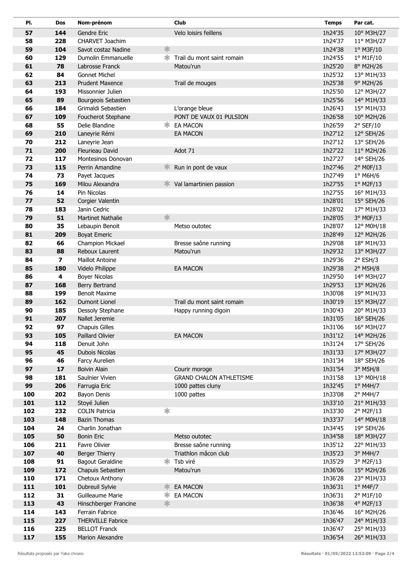| PI. | Dos                     | Nom-prénom               |        | <b>Club</b>                    | <b>Temps</b> | Par cat.          |
|-----|-------------------------|--------------------------|--------|--------------------------------|--------------|-------------------|
| 57  | 144                     | Gendre Eric              |        | Velo loisirs feillens          | 1h24'35      | 10° M3H/27        |
| 58  | 228                     | CHARVET Joachim          |        |                                | 1h24'37      | 11° M3H/27        |
| 59  | 104                     | Savot costaz Nadine      | 氺      |                                | 1h24'38      | 1° M3F/10         |
| 60  | 129                     | Dumolin Emmanuelle       | ∗.     | Trail du mont saint romain     | 1h24'55      | 1° M1F/10         |
| 61  | 78                      | Labrosse Franck          |        | Matou'run                      | 1h25'20      | 8° M2H/26         |
| 62  | 84                      | <b>Gonnet Michel</b>     |        |                                | 1h25'32      | 13° M1H/33        |
| 63  | 213                     | <b>Prudent Maxence</b>   |        | Trail de mouges                | 1h25'38      | 9° M2H/26         |
| 64  | 193                     | Missonnier Julien        |        |                                | 1h25'50      | 12° M3H/27        |
| 65  | 89                      | Bourgeois Sebastien      |        |                                | 1h25'56      | 14° M1H/33        |
| 66  | 184                     | Grimaldi Sebastien       |        | L'orange bleue                 | 1h26'43      | 15° M1H/33        |
| 67  | 109                     | Foucherot Stephane       |        | PONT DE VAUX 01 PULSION        | 1h26'58      | 10° M2H/26        |
| 68  | 55                      | Delie Blandine           | ж      | EA MACON                       | 1h26'59      | 2° SEF/10         |
| 69  | 210                     | Laneyrie Rémi            |        | <b>EA MACON</b>                | 1h27'12      | 12° SEH/26        |
| 70  | 212                     | Laneyrie Jean            |        |                                | 1h27'12      | 13° SEH/26        |
| 71  | 200                     | Fleurieau David          |        | Adot 71                        | 1h27'22      | 11° M2H/26        |
| 72  | 117                     | Montesinos Donovan       |        |                                | 1h27'27      | 14° SEH/26        |
| 73  | 115                     | Perrin Amandine          |        | Run in pont de vaux            | 1h27'46      | 2° M0F/13         |
| 74  | 73                      | Payet Jacques            |        |                                | 1h27'49      | $1^\circ$ M6H/6   |
| 75  | 169                     | Milou Alexandra          | Ж      | Val lamartinien passion        | 1h27'55      | 1° M2F/13         |
| 76  | 14                      | Pin Nicolas              |        |                                | 1h27'55      | 16° M1H/33        |
| 77  | 52                      | Corgier Valentin         |        |                                | 1h28'01      | 15° SEH/26        |
| 78  | 183                     | Janin Cedric             |        |                                | 1h28'02      | 17° M1H/33        |
| 79  | 51                      | <b>Martinet Nathalie</b> | 氺      |                                | 1h28'05      | 3° M0F/13         |
| 80  | 35                      | Lebaupin Benoit          |        | Metso outotec                  | 1h28'07      | 12° M0H/18        |
| 81  | 209                     | <b>Boyat Emeric</b>      |        |                                | 1h28'49      | 12° M2H/26        |
| 82  | 66                      | Champion Mickael         |        | Bresse saône running           | 1h29'08      | 18° M1H/33        |
| 83  | 88                      | Reboux Laurent           |        | Matou'run                      | 1h29'32      | 13° M3H/27        |
| 84  | $\overline{\mathbf{z}}$ | <b>Maillot Antoine</b>   |        |                                | 1h29'36      | $2°$ ESH/3        |
| 85  | 180                     | Videlo Philippe          |        | EA MACON                       | 1h29'38      | 2° M5H/8          |
| 86  | 4                       | <b>Boyer Nicolas</b>     |        |                                | 1h29'50      | 14° M3H/27        |
| 87  | 168                     | Berry Bertrand           |        |                                | 1h29'53      | 13° M2H/26        |
| 88  | 199                     | <b>Benoit Maxime</b>     |        |                                | 1h30'08      | 19° M1H/33        |
| 89  | 162                     | <b>Dumont Lionel</b>     |        | Trail du mont saint romain     | 1h30'19      | 15° M3H/27        |
| 90  | 185                     | Dessoly Stephane         |        | Happy running digoin           | 1h30'43      | 20° M1H/33        |
| 91  | 207                     | Nallet Jeremie           |        |                                | 1h31'05      | 16° SEH/26        |
| 92  | 97                      | <b>Chapuis Gilles</b>    |        |                                | 1h31'06      | 16° M3H/27        |
| 93  | 105                     | Paillard Olivier         |        | <b>EA MACON</b>                | 1h31'12      | 14° M2H/26        |
| 94  | 118                     | Denuit John              |        |                                | 1h31'24      | 17° SEH/26        |
| 95  | 45                      | Dubois Nicolas           |        |                                | 1h31'33      | 17° M3H/27        |
| 96  | 46                      | Farcy Aurelien           |        |                                | 1h31'34      | 18° SEH/26        |
| 97  | 17                      | <b>Boivin Alain</b>      |        | Courir moroge                  | 1h31'54      | 3° M5H/8          |
| 98  | 181                     | Saulnier Vivien          |        | <b>GRAND CHALON ATHLETISME</b> | 1h31'58      | 13° M0H/18        |
| 99  | 206                     | Farrugia Eric            |        | 1000 pattes cluny              | 1h32'45      | $1°$ M4H/7        |
| 100 | 202                     | Bayon Denis              |        | 1000 pattes                    | 1h33'08      | 2° M4H/7          |
| 101 | 112                     | Stoyé Julien             |        |                                | 1h33'10      | 21° M1H/33        |
| 102 | 232                     | <b>COLIN Patricia</b>    | $\ast$ |                                | 1h33'30      | 2° M2F/13         |
| 103 | 148                     | <b>Bazin Thomas</b>      |        |                                | 1h33'37      | 14° M0H/18        |
| 104 | 24                      | Charlin Jonathan         |        |                                | 1h34'45      | 19° SEH/26        |
| 105 | 50                      | <b>Bonin Eric</b>        |        | Metso outotec                  | 1h34'58      | 18° M3H/27        |
| 106 | 211                     | Favre Olivier            |        | Bresse saône running           | 1h35'12      | 22° M1H/33        |
| 107 | 40                      | Berger Thierry           |        | Triathlon mâcon club           | 1h35'23      | 3° M4H/7          |
| 108 | 91                      | <b>Bagout Geraldine</b>  |        | <b>* Tsb viré</b>              | 1h35'29      | 3° M2F/13         |
| 109 | 172                     | Chapuis Sebastien        |        | Matou'run                      | 1h36'06      | 15° M2H/26        |
| 110 | 171                     | Chetoux Anthony          |        |                                | 1h36'28      | 23° M1H/33        |
| 111 | 101                     | Dubreuil Sylvie          | ≭      | <b>EA MACON</b>                | 1h36'31      | $1^{\circ}$ M4F/7 |
| 112 | 31                      | Guilleaume Marie         | ∗      | EA MACON                       | 1h36'31      | 2° M1F/10         |
| 113 | 43                      | Hinschberger Francine    | 氺      |                                | 1h36'38      | 4° M2F/13         |
| 114 | 143                     | Ferrain Fabrice          |        |                                | 1h36'46      | 16° M2H/26        |
| 115 | 227                     | <b>THERVILLE Fabrice</b> |        |                                | 1h36'47      | 24° M1H/33        |
| 116 | 225                     | <b>BELLOT Franck</b>     |        |                                | 1h36'47      | 25° M1H/33        |
| 117 | 155                     | Marion Alexandre         |        |                                | 1h36'54      | 26° M1H/33        |
|     |                         |                          |        |                                |              |                   |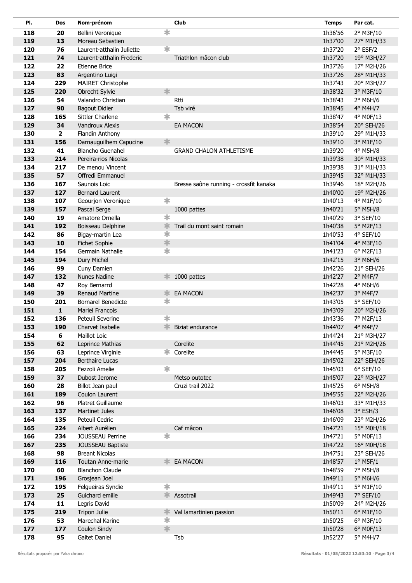| PI.        | <b>Dos</b>     | Nom-prénom                                  |        | Club                                   | <b>Temps</b>       | Par cat.                      |
|------------|----------------|---------------------------------------------|--------|----------------------------------------|--------------------|-------------------------------|
| 118        | 20             | Bellini Veronique                           | $\ast$ |                                        | 1h36'56            | 2° M3F/10                     |
| 119        | 13             | Moreau Sebastien                            |        |                                        | 1h37'00            | 27° M1H/33                    |
| 120        | 76             | Laurent-atthalin Juliette                   | $\ast$ |                                        | 1h37'20            | $2°$ ESF/2                    |
| 121        | 74             | Laurent-atthalin Frederic                   |        | Triathlon mâcon club                   | 1h37'20            | 19° M3H/27                    |
| 122        | 22             | Etienne Brice                               |        |                                        | 1h37'26            | 17° M2H/26                    |
| 123        | 83             | Argentino Luigi                             |        |                                        | 1h37'26            | 28° M1H/33                    |
| 124        | 229            | <b>MAIRET Christophe</b>                    |        |                                        | 1h37'43            | 20° M3H/27                    |
| 125        | 220            | Obrecht Sylvie                              | 氺      |                                        | 1h38'32            | 3° M3F/10                     |
| 126        | 54             | Valandro Christian                          |        | Rtti                                   | 1h38'43            | $2°$ M6H/6                    |
| 127        | 90             | <b>Bagout Didier</b>                        |        | Tsb viré                               | 1h38'45            | 4° M4H/7                      |
| 128        | 165            | Sittler Charlene                            | ∗      |                                        | 1h38'47            | 4° M0F/13                     |
| 129        | 34             | Vandroux Alexis                             |        | <b>EA MACON</b>                        | 1h38'54            | 20° SEH/26                    |
| 130        | $\overline{2}$ | Flandin Anthony                             |        |                                        | 1h39'10            | 29° M1H/33                    |
| 131        | 156            | Darnauguilhem Capucine                      | 氺      |                                        | 1h39'10            | 3° M1F/10                     |
| 132        | 41             | <b>Blancho Guenahel</b>                     |        | <b>GRAND CHALON ATHLETISME</b>         | 1h39'20            | 4° M5H/8                      |
| 133        | 214            | Pereira-rios Nicolas                        |        |                                        | 1h39'38            | 30° M1H/33                    |
| 134        | 217            | De menou Vincent                            |        |                                        | 1h39'38            | 31° M1H/33                    |
| 135        | 57             | Offredi Emmanuel                            |        |                                        | 1h39'45            | 32° M1H/33                    |
| 136        | 167            | Saunois Loic                                |        | Bresse saône running - crossfit kanaka | 1h39'46            | 18° M2H/26                    |
| 137        | 127            | <b>Bernard Laurent</b>                      |        |                                        | 1h40'00            | 19° M2H/26                    |
| 138        | 107            | Geourjon Veronique                          | ∗      |                                        | 1h40'13            | 4° M1F/10                     |
| 139        | 157            | Pascal Serge                                |        | 1000 pattes                            | 1h40'21            | 5° M5H/8                      |
| 140        | 19             | Amatore Ornella                             | $\ast$ |                                        | 1h40'29            | 3° SEF/10                     |
| 141        | 192            | Boisseau Delphine                           | 氺      | Trail du mont saint romain             | 1h40'38            | 5° M2F/13                     |
| 142        | 86             | Bigay-martin Lea                            | $\ast$ |                                        | 1h40'53            | 4° SEF/10                     |
| 143        | 10             | Fichet Sophie                               | 氺      |                                        | 1h41'04            | 4° M3F/10                     |
| 144        | 154            | Germain Nathalie                            | 字      |                                        | 1h41'23            | 6° M2F/13                     |
| 145        | 194            | Dury Michel                                 |        |                                        | 1h42'15            | 3° M6H/6                      |
| 146        | 99             | Cuny Damien                                 |        |                                        | 1h42'26            | 21° SEH/26                    |
| 147        | 132            | Nunes Nadine                                | ≭      | 1000 pattes                            | 1h42'27            | $2°$ M4F/7                    |
| 148        | 47             | Roy Bernarrd                                |        |                                        | 1h42'28            | 4° M6H/6                      |
| 149        | 39             | <b>Renaud Martine</b>                       | ∗      | <b>EA MACON</b>                        | 1h42'37            | 3° M4F/7                      |
| 150        | 201            | <b>Bornarel Benedicte</b>                   | $\ast$ |                                        | 1h43'05            | 5° SEF/10                     |
| 151        | $\mathbf{1}$   | <b>Mariel Francois</b>                      |        |                                        | 1h43'09            | 20° M2H/26                    |
| 152        | 136            | Peteuil Severine                            | $\ast$ |                                        | 1h43'36            | 7° M2F/13                     |
| 153        | 190            | Charvet Isabelle                            | 氺      | Biziat endurance                       | 1h44'07            | 4° M4F/7                      |
| 154        | 6              | Maillot Loic                                |        |                                        | 1h44'24            | 21° M3H/27                    |
| 155        | 62             | Leprince Mathias                            |        | Corelite                               | 1h44'45            | 21° M2H/26                    |
| 156        | 63             | Leprince Virginie                           |        | Corelite                               | 1h44'45            | 5° M3F/10                     |
| 157        | 204            | <b>Berthaire Lucas</b>                      |        |                                        | 1h45'02            | 22° SEH/26                    |
| 158        | 205            | Fezzoli Amelie                              | $\ast$ |                                        | 1h45'03            | $6°$ SEF/10                   |
| 159        | 37             | Dubost Jerome                               |        | Metso outotec                          | 1h45'07            | 22° M3H/27                    |
| 160        | 28             | Billot Jean paul                            |        | Cruzi trail 2022                       | 1h45'25            | $6^{\circ}$ M5H/8             |
| 161        | 189            | Coulon Laurent                              |        |                                        | 1h45'55            | 22° M2H/26                    |
| 162        | 96             | Platret Guillaume                           |        |                                        | 1h46'03            | 33° M1H/33                    |
| 163        | 137            | <b>Martinet Jules</b>                       |        |                                        | 1h46'08            | $3°$ ESH/3                    |
| 164        | 135            | Peteuil Cedric                              |        |                                        | 1h46'09            | 23° M2H/26                    |
| 165        | 224            | Albert Aurélien                             | $\ast$ | Caf mâcon                              | 1h47'21            | 15° M0H/18                    |
| 166<br>167 | 234            | JOUSSEAU Perrine                            |        |                                        | 1h47'21<br>1h47'22 | 5° M0F/13                     |
|            | 235            | JOUSSEAU Baptiste<br><b>Breant Nicolas</b>  |        |                                        |                    | 16° M0H/18                    |
| 168        | 98             |                                             | ≭      |                                        | 1h47'51            | 23° SEH/26                    |
| 169<br>170 | 116<br>60      | Toutan Anne-marie<br><b>Blanchon Claude</b> |        | EA MACON                               | 1h48'57<br>1h48'59 | $1^{\circ}$ M5F/1<br>7° M5H/8 |
| 171        | 196            | Grosjean Joel                               |        |                                        | 1h49'11            | 5° M6H/6                      |
| 172        | 195            | Felgueiras Syndie                           | $\ast$ |                                        | 1h49'11            | 5° M1F/10                     |
| 173        | 25             | Guichard emilie                             |        | * Assotrail                            | 1h49'43            |                               |
| 174        | 11             | Legris David                                |        |                                        | 1h50'09            | 7° SEF/10<br>24° M2H/26       |
| 175        | 219            | Tripon Julie                                | ∗      | Val lamartinien passion                | 1h50'11            | 6° M1F/10                     |
| 176        | 53             | Marechal Karine                             | $\ast$ |                                        | 1h50'25            | 6° M3F/10                     |
| 177        | 177            | Coulon Sindy                                | *      |                                        | 1h50'28            | 6° M0F/13                     |
| 178        | 95             | Gaitet Daniel                               |        | Tsb                                    | 1h52'27            | 5° M4H/7                      |
|            |                |                                             |        |                                        |                    |                               |